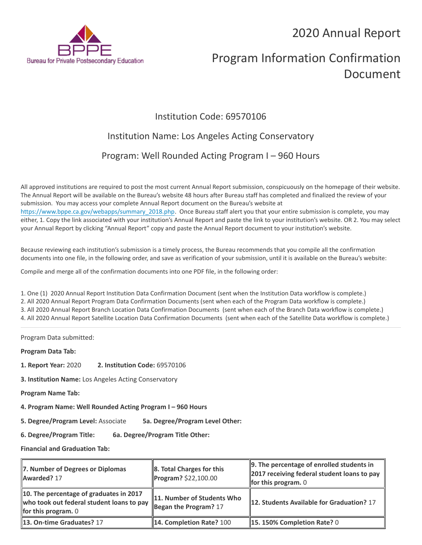2020 Annual Report



# Program Information Confirmation Document

### Institution Code: 69570106

## Institution Name: Los Angeles Acting Conservatory

### Program: Well Rounded Acting Program I – 960 Hours

All approved institutions are required to post the most current Annual Report submission, conspicuously on the homepage of their website. The Annual Report will be available on the Bureau's website 48 hours after Bureau staff has completed and finalized the review of your submission. You may access your complete Annual Report document on the Bureau's website at [https://www.bppe.ca.gov/webapps/summary\\_2018.php.](https://www.bppe.ca.gov/webapps/summary_2018.php) Once Bureau staff alert you that your entire submission is complete, you may either, 1. Copy the link associated with your institution's Annual Report and paste the link to your institution's website. OR 2. You may select your Annual Report by clicking "Annual Report" copy and paste the Annual Report document to your institution's website.

Because reviewing each institution's submission is a timely process, the Bureau recommends that you compile all the confirmation documents into one file, in the following order, and save as verification of your submission, until it is available on the Bureau's website:

Compile and merge all of the confirmation documents into one PDF file, in the following order:

1. One (1) 2020 Annual Report Institution Data Confirmation Document (sent when the Institution Data workflow is complete.) 2. All 2020 Annual Report Program Data Confirmation Documents (sent when each of the Program Data workflow is complete.) 3. All 2020 Annual Report Branch Location Data Confirmation Documents (sent when each of the Branch Data workflow is complete.) 4. All 2020 Annual Report Satellite Location Data Confirmation Documents (sent when each of the Satellite Data workflow is complete.)

Program Data submitted:

**Program Data Tab:**

- **1. Report Year:** 2020 **2. Institution Code:** 69570106
- **3. Institution Name:** Los Angeles Acting Conservatory

**Program Name Tab:**

**4. Program Name: Well Rounded Acting Program I – 960 Hours** 

**5. Degree/Program Level:** Associate **5a. Degree/Program Level Other:**

**6. Degree/Program Title: 6a. Degree/Program Title Other:**

**Financial and Graduation Tab:**

| 7. Number of Degrees or Diplomas<br>Awarded? 17                                                                      | $\ $ 8. Total Charges for this<br>Program? \$22,100.00 | $\parallel$ 9. The percentage of enrolled students in<br>2017 receiving federal student loans to pay<br>for this program. $0$ |
|----------------------------------------------------------------------------------------------------------------------|--------------------------------------------------------|-------------------------------------------------------------------------------------------------------------------------------|
| 10. The percentage of graduates in 2017<br>who took out federal student loans to pay<br><b>for this program.</b> $0$ | 11. Number of Students Who<br>Began the Program? $17$  | 12. Students Available for Graduation? 17                                                                                     |
| 13. On-time Graduates? 17                                                                                            | <b>14. Completion Rate? 100</b>                        | $\parallel$ 15. 150% Completion Rate? 0                                                                                       |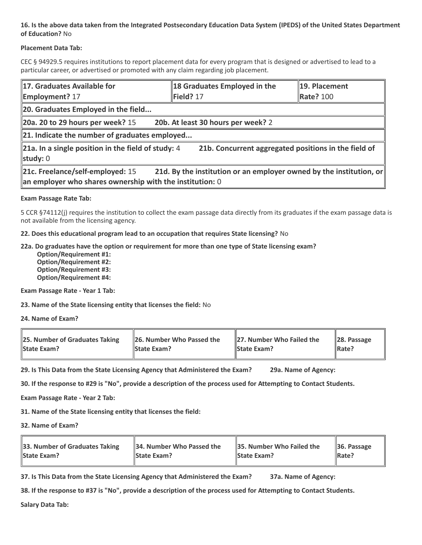### **16. Is the above data taken from the Integrated Postsecondary Education Data System (IPEDS) of the United States Department of Education?** No

### **Placement Data Tab:**

CEC § 94929.5 requires institutions to report placement data for every program that is designed or advertised to lead to a particular career, or advertised or promoted with any claim regarding job placement.

| 17. Graduates Available for<br><b>Employment? 17</b>                                                                                                                  | 18 Graduates Employed in the<br>Field? 17 | 19. Placement<br><b>Rate? 100</b> |  |  |  |
|-----------------------------------------------------------------------------------------------------------------------------------------------------------------------|-------------------------------------------|-----------------------------------|--|--|--|
| 20. Graduates Employed in the field                                                                                                                                   |                                           |                                   |  |  |  |
| $\vert$ 20a. 20 to 29 hours per week? 15                                                                                                                              | 20b. At least 30 hours per week? 2        |                                   |  |  |  |
| 21. Indicate the number of graduates employed                                                                                                                         |                                           |                                   |  |  |  |
| $\vert$ 21a. In a single position in the field of study: 4<br>21b. Concurrent aggregated positions in the field of<br>study: 0                                        |                                           |                                   |  |  |  |
| 21c. Freelance/self-employed: 15<br>21d. By the institution or an employer owned by the institution, or<br>an employer who shares ownership with the institution: $0$ |                                           |                                   |  |  |  |

#### **Exam Passage Rate Tab:**

5 CCR §74112(j) requires the institution to collect the exam passage data directly from its graduates if the exam passage data is not available from the licensing agency.

**22. Does this educational program lead to an occupation that requires State licensing?** No

#### **22a. Do graduates have the option or requirement for more than one type of State licensing exam?**

 **Option/Requirement #1: Option/Requirement #2: Option/Requirement #3: Option/Requirement #4:**

**Exam Passage Rate - Year 1 Tab:**

**23. Name of the State licensing entity that licenses the field:** No

**24. Name of Exam?**

| 25. Number of Graduates Taking | 26. Number Who Passed the | 27. Number Who Failed the | $\ 28.$ Passage |
|--------------------------------|---------------------------|---------------------------|-----------------|
| <b>State Exam?</b>             | <b>State Exam?</b>        | <b>State Exam?</b>        | Rate?           |

**29. Is This Data from the State Licensing Agency that Administered the Exam? 29a. Name of Agency:**

**30. If the response to #29 is "No", provide a description of the process used for Attempting to Contact Students.**

**Exam Passage Rate - Year 2 Tab:**

**31. Name of the State licensing entity that licenses the field:**

**32. Name of Exam?**

| 33. Number of Graduates Taking | 34. Number Who Passed the | <b>35. Number Who Failed the</b> | $\parallel$ 36. Passage |
|--------------------------------|---------------------------|----------------------------------|-------------------------|
| <b>State Exam?</b>             | <b>State Exam?</b>        | <b>State Exam?</b>               | $\parallel$ Rate?       |

**37. Is This Data from the State Licensing Agency that Administered the Exam? 37a. Name of Agency:**

**38. If the response to #37 is "No", provide a description of the process used for Attempting to Contact Students.** 

**Salary Data Tab:**